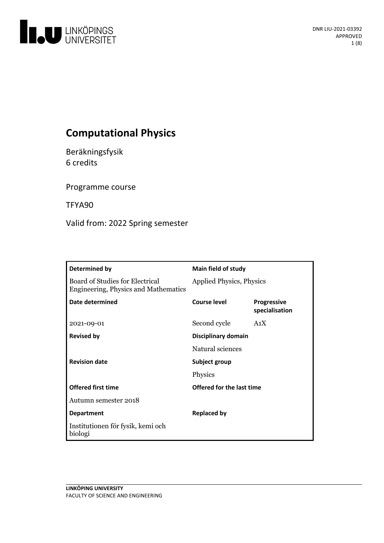

# **Computational Physics**

Beräkningsfysik 6 credits

Programme course

TFYA90

Valid from: 2022 Spring semester

| Determined by                                                                  | Main field of study       |                                      |
|--------------------------------------------------------------------------------|---------------------------|--------------------------------------|
| Board of Studies for Electrical<br><b>Engineering, Physics and Mathematics</b> | Applied Physics, Physics  |                                      |
| Date determined                                                                | <b>Course level</b>       | <b>Progressive</b><br>specialisation |
| 2021-09-01                                                                     | Second cycle              | A <sub>1</sub> X                     |
| <b>Revised by</b>                                                              | Disciplinary domain       |                                      |
|                                                                                | Natural sciences          |                                      |
| <b>Revision date</b>                                                           | Subject group             |                                      |
|                                                                                | Physics                   |                                      |
| <b>Offered first time</b>                                                      | Offered for the last time |                                      |
| Autumn semester 2018                                                           |                           |                                      |
| <b>Department</b>                                                              | <b>Replaced by</b>        |                                      |
| Institutionen för fysik, kemi och<br>biologi                                   |                           |                                      |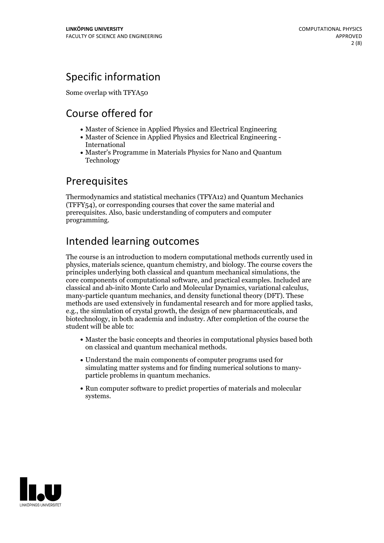## Specific information

Some overlap with TFYA50

# Course offered for

- Master of Science in Applied Physics and Electrical Engineering
- Master of Science in Applied Physics and Electrical Engineering International
- Master's Programme in Materials Physics for Nano and Quantum Technology

## **Prerequisites**

Thermodynamics and statistical mechanics (TFYA12) and Quantum Mechanics (TFFY54), or corresponding courses that cover the same material and prerequisites. Also, basic understanding of computers and computer programming.

# Intended learning outcomes

The course is an introduction to modern computational methods currently used in physics, materials science, quantum chemistry, and biology. The course covers the principles underlying both classical and quantum mechanical simulations, the core components of computational software, and practical examples. Included are classical and ab-inito Monte Carlo and Molecular Dynamics, variational calculus, many-particle quantum mechanics, and density functional theory (DFT). These methods are used extensively in fundamental research and for more applied tasks, e.g., the simulation of crystal growth, the design of new pharmaceuticals, and biotechnology, in both academia and industry. After completion of the course the student will be able to:

- Master the basic concepts and theories in computational physics based both on classical and quantum mechanical methods.
- Understand the main components of computer programs used for simulating matter systems and for finding numerical solutions to many- particle problems in quantum mechanics.
- Run computer software to predict properties of materials and molecular systems.

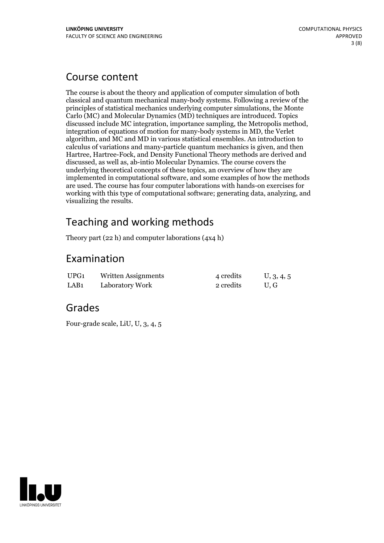## Course content

The course is about the theory and application of computer simulation of both classical and quantum mechanical many-body systems. Following a review of the principles of statistical mechanics underlying computer simulations, the Monte Carlo (MC) and Molecular Dynamics (MD) techniques are introduced. Topics discussed include MC integration, importance sampling, the Metropolis method, integration of equations of motion for many-body systems in MD, the Verlet algorithm, and MC and MD invarious statistical ensembles. An introduction to calculus of variations and many-particle quantum mechanics is given, and then Hartree, Hartree-Fock, and Density Functional Theory methods are derived and discussed, as well as, ab-intio Molecular Dynamics. The course covers the underlying theoretical concepts of these topics, an overview of how they are implemented in computational software, and some examples of how the methods are used. The course has four computer laborations with hands-on exercises for working with this type of computational software; generating data, analyzing, and visualizing the results.

## Teaching and working methods

Theory part (22 h) and computer laborations (4x4 h)

## Examination

| UPG1             | Written Assignments | 4 credits | U, 3, 4, 5 |
|------------------|---------------------|-----------|------------|
| LAB <sub>1</sub> | Laboratory Work     | 2 credits | U.G        |

## Grades

Four-grade scale, LiU, U, 3, 4, 5

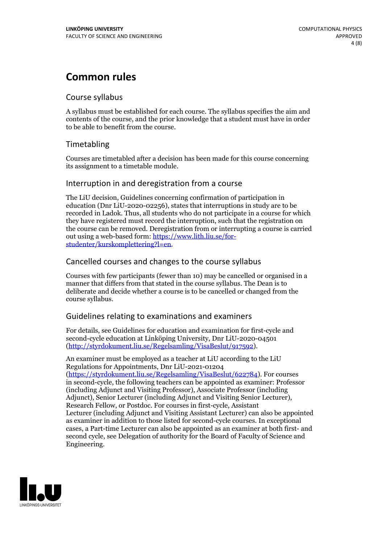## **Common rules**

### Course syllabus

A syllabus must be established for each course. The syllabus specifies the aim and contents of the course, and the prior knowledge that a student must have in order to be able to benefit from the course.

## Timetabling

Courses are timetabled after a decision has been made for this course concerning its assignment to a timetable module.

### Interruption in and deregistration from a course

The LiU decision, Guidelines concerning confirmation of participation in education (Dnr LiU-2020-02256), states that interruptions in study are to be recorded in Ladok. Thus, all students who do not participate in a course for which they have registered must record the interruption, such that the registration on the course can be removed. Deregistration from or interrupting a course is carried out using <sup>a</sup> web-based form: https://www.lith.liu.se/for- [studenter/kurskomplettering?l=en.](https://www.lith.liu.se/for-studenter/kurskomplettering?l=en)

## Cancelled courses and changes to the course syllabus

Courses with few participants (fewer than 10) may be cancelled or organised in a manner that differs from that stated in the course syllabus. The Dean is to deliberate and decide whether a course is to be cancelled or changed from the course syllabus.

## Guidelines relating to examinations and examiners

For details, see Guidelines for education and examination for first-cycle and second-cycle education at Linköping University, Dnr LiU-2020-04501 [\(http://styrdokument.liu.se/Regelsamling/VisaBeslut/917592\)](http://styrdokument.liu.se/Regelsamling/VisaBeslut/917592).

An examiner must be employed as a teacher at LiU according to the LiU Regulations for Appointments, Dnr LiU-2021-01204 [\(https://styrdokument.liu.se/Regelsamling/VisaBeslut/622784](https://styrdokument.liu.se/Regelsamling/VisaBeslut/622784)). For courses in second-cycle, the following teachers can be appointed as examiner: Professor (including Adjunct and Visiting Professor), Associate Professor (including Adjunct), Senior Lecturer (including Adjunct and Visiting Senior Lecturer), Research Fellow, or Postdoc. For courses in first-cycle, Assistant Lecturer (including Adjunct and Visiting Assistant Lecturer) can also be appointed as examiner in addition to those listed for second-cycle courses. In exceptional cases, a Part-time Lecturer can also be appointed as an examiner at both first- and second cycle, see Delegation of authority for the Board of Faculty of Science and Engineering.

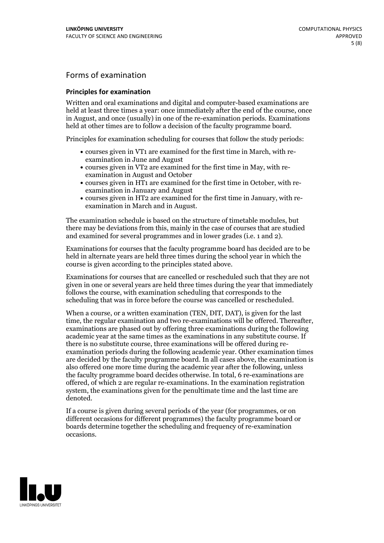## Forms of examination

### **Principles for examination**

Written and oral examinations and digital and computer-based examinations are held at least three times a year: once immediately after the end of the course, once in August, and once (usually) in one of the re-examination periods. Examinations held at other times are to follow a decision of the faculty programme board.

Principles for examination scheduling for courses that follow the study periods:

- courses given in VT1 are examined for the first time in March, with re-examination in June and August
- courses given in VT2 are examined for the first time in May, with re-examination in August and October
- courses given in HT1 are examined for the first time in October, with re-examination in January and August
- courses given in HT2 are examined for the first time in January, with re-examination in March and in August.

The examination schedule is based on the structure of timetable modules, but there may be deviations from this, mainly in the case of courses that are studied and examined for several programmes and in lower grades (i.e. 1 and 2).

Examinations for courses that the faculty programme board has decided are to be held in alternate years are held three times during the school year in which the course is given according to the principles stated above.

Examinations for courses that are cancelled orrescheduled such that they are not given in one or several years are held three times during the year that immediately follows the course, with examination scheduling that corresponds to the scheduling that was in force before the course was cancelled or rescheduled.

When a course, or a written examination (TEN, DIT, DAT), is given for the last time, the regular examination and two re-examinations will be offered. Thereafter, examinations are phased out by offering three examinations during the following academic year at the same times as the examinations in any substitute course. If there is no substitute course, three examinations will be offered during re- examination periods during the following academic year. Other examination times are decided by the faculty programme board. In all cases above, the examination is also offered one more time during the academic year after the following, unless the faculty programme board decides otherwise. In total, 6 re-examinations are offered, of which 2 are regular re-examinations. In the examination registration system, the examinations given for the penultimate time and the last time are denoted.

If a course is given during several periods of the year (for programmes, or on different occasions for different programmes) the faculty programme board or boards determine together the scheduling and frequency of re-examination occasions.

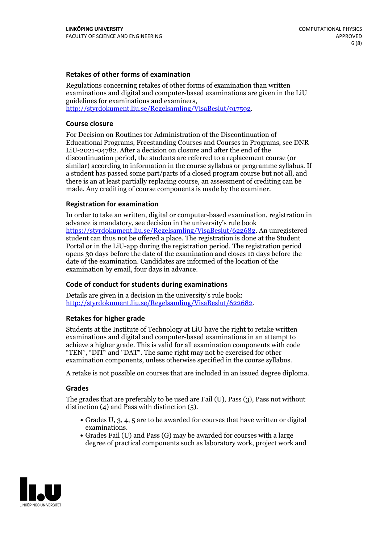### **Retakes of other forms of examination**

Regulations concerning retakes of other forms of examination than written examinations and digital and computer-based examinations are given in the LiU guidelines for examinations and examiners, [http://styrdokument.liu.se/Regelsamling/VisaBeslut/917592.](http://styrdokument.liu.se/Regelsamling/VisaBeslut/917592)

#### **Course closure**

For Decision on Routines for Administration of the Discontinuation of Educational Programs, Freestanding Courses and Courses in Programs, see DNR LiU-2021-04782. After a decision on closure and after the end of the discontinuation period, the students are referred to a replacement course (or similar) according to information in the course syllabus or programme syllabus. If a student has passed some part/parts of a closed program course but not all, and there is an at least partially replacing course, an assessment of crediting can be made. Any crediting of course components is made by the examiner.

#### **Registration for examination**

In order to take an written, digital or computer-based examination, registration in advance is mandatory, see decision in the university's rule book [https://styrdokument.liu.se/Regelsamling/VisaBeslut/622682.](https://styrdokument.liu.se/Regelsamling/VisaBeslut/622682) An unregistered student can thus not be offered a place. The registration is done at the Student Portal or in the LiU-app during the registration period. The registration period opens 30 days before the date of the examination and closes 10 days before the date of the examination. Candidates are informed of the location of the examination by email, four days in advance.

#### **Code of conduct for students during examinations**

Details are given in a decision in the university's rule book: <http://styrdokument.liu.se/Regelsamling/VisaBeslut/622682>.

#### **Retakes for higher grade**

Students at the Institute of Technology at LiU have the right to retake written examinations and digital and computer-based examinations in an attempt to achieve a higher grade. This is valid for all examination components with code "TEN", "DIT" and "DAT". The same right may not be exercised for other examination components, unless otherwise specified in the course syllabus.

A retake is not possible on courses that are included in an issued degree diploma.

#### **Grades**

The grades that are preferably to be used are Fail (U), Pass (3), Pass not without distinction  $(4)$  and Pass with distinction  $(5)$ .

- Grades U, 3, 4, 5 are to be awarded for courses that have written or digital examinations.<br>• Grades Fail (U) and Pass (G) may be awarded for courses with a large
- degree of practical components such as laboratory work, project work and

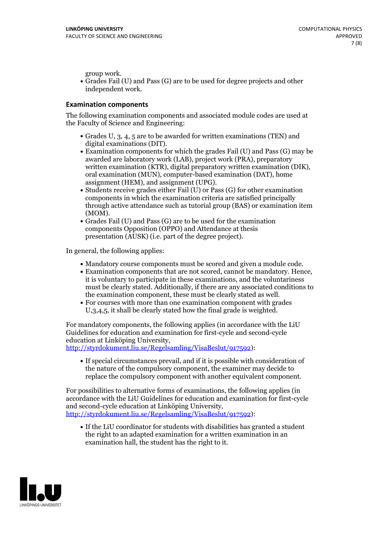group work.<br>• Grades Fail (U) and Pass (G) are to be used for degree projects and other independent work.

### **Examination components**

The following examination components and associated module codes are used at the Faculty of Science and Engineering:

- Grades U, 3, 4, 5 are to be awarded for written examinations (TEN) and
- digital examinations (DIT).<br>• Examination components for which the grades Fail (U) and Pass (G) may be awarded are laboratory work (LAB), project work (PRA), preparatory written examination (KTR), digital preparatory written examination (DIK), oral examination (MUN), computer-based examination (DAT), home
- assignment (HEM), and assignment (UPG).<br>• Students receive grades either Fail (U) or Pass (G) for other examination components in which the examination criteria are satisfied principally through active attendance such as tutorial group (BAS) or examination item
- (MOM).<br>• Grades Fail (U) and Pass (G) are to be used for the examination components Opposition (OPPO) and Attendance at thesis presentation (AUSK) (i.e. part of the degree project).

In general, the following applies:

- 
- Mandatory course components must be scored and given <sup>a</sup> module code. Examination components that are not scored, cannot be mandatory. Hence, it is voluntary to participate in these examinations, and the voluntariness must be clearly stated. Additionally, if there are any associated conditions to
- the examination component, these must be clearly stated as well.<br>• For courses with more than one examination component with grades U,3,4,5, it shall be clearly stated how the final grade is weighted.

For mandatory components, the following applies (in accordance with the LiU Guidelines for education and examination for first-cycle and second-cycle education at Linköping University,<br>[http://styrdokument.liu.se/Regelsamling/VisaBeslut/917592\)](http://styrdokument.liu.se/Regelsamling/VisaBeslut/917592):

If special circumstances prevail, and if it is possible with consideration of the nature of the compulsory component, the examiner may decide to replace the compulsory component with another equivalent component.

For possibilities to alternative forms of examinations, the following applies (in accordance with the LiU Guidelines for education and examination for first-cycle [http://styrdokument.liu.se/Regelsamling/VisaBeslut/917592\)](http://styrdokument.liu.se/Regelsamling/VisaBeslut/917592):

If the LiU coordinator for students with disabilities has granted a student the right to an adapted examination for a written examination in an examination hall, the student has the right to it.